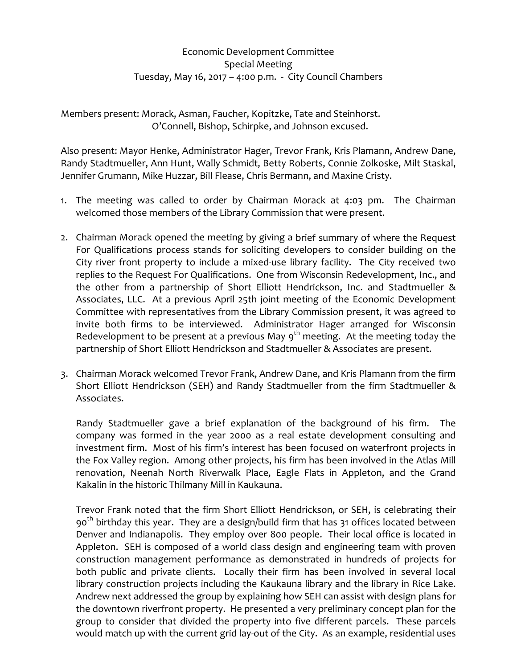## Economic Development Committee Special Meeting Tuesday, May 16, 2017 – 4:00 p.m. ‐ City Council Chambers

Members present: Morack, Asman, Faucher, Kopitzke, Tate and Steinhorst. O'Connell, Bishop, Schirpke, and Johnson excused.

Also present: Mayor Henke, Administrator Hager, Trevor Frank, Kris Plamann, Andrew Dane, Randy Stadtmueller, Ann Hunt, Wally Schmidt, Betty Roberts, Connie Zolkoske, Milt Staskal, Jennifer Grumann, Mike Huzzar, Bill Flease, Chris Bermann, and Maxine Cristy.

- 1. The meeting was called to order by Chairman Morack at 4:03 pm. The Chairman welcomed those members of the Library Commission that were present.
- 2. Chairman Morack opened the meeting by giving a brief summary of where the Request For Qualifications process stands for soliciting developers to consider building on the City river front property to include a mixed-use library facility. The City received two replies to the Request For Qualifications. One from Wisconsin Redevelopment, Inc., and the other from a partnership of Short Elliott Hendrickson, Inc. and Stadtmueller & Associates, LLC. At a previous April 25th joint meeting of the Economic Development Committee with representatives from the Library Commission present, it was agreed to invite both firms to be interviewed. Administrator Hager arranged for Wisconsin Redevelopment to be present at a previous May  $9<sup>th</sup>$  meeting. At the meeting today the partnership of Short Elliott Hendrickson and Stadtmueller & Associates are present.
- 3. Chairman Morack welcomed Trevor Frank, Andrew Dane, and Kris Plamann from the firm Short Elliott Hendrickson (SEH) and Randy Stadtmueller from the firm Stadtmueller & Associates.

Randy Stadtmueller gave a brief explanation of the background of his firm. The company was formed in the year 2000 as a real estate development consulting and investment firm. Most of his firm's interest has been focused on waterfront projects in the Fox Valley region. Among other projects, his firm has been involved in the Atlas Mill renovation, Neenah North Riverwalk Place, Eagle Flats in Appleton, and the Grand Kakalin in the historic Thilmany Mill in Kaukauna.

Trevor Frank noted that the firm Short Elliott Hendrickson, or SEH, is celebrating their 90<sup>th</sup> birthday this year. They are a design/build firm that has 31 offices located between Denver and Indianapolis. They employ over 800 people. Their local office is located in Appleton. SEH is composed of a world class design and engineering team with proven construction management performance as demonstrated in hundreds of projects for both public and private clients. Locally their firm has been involved in several local library construction projects including the Kaukauna library and the library in Rice Lake. Andrew next addressed the group by explaining how SEH can assist with design plans for the downtown riverfront property. He presented a very preliminary concept plan for the group to consider that divided the property into five different parcels. These parcels would match up with the current grid lay-out of the City. As an example, residential uses